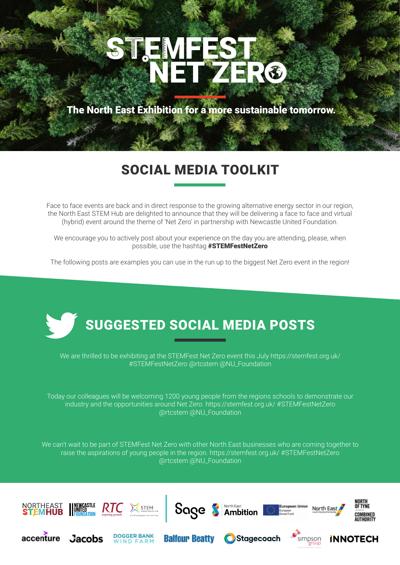# STEMFE ETZER®

The North East Exhibition for a more sustainable tomorrow.

### SOCIAL MEDIA TOOLKIT

Face to face events are back and in direct response to the growing alternative energy sector in our region, the North East STEM Hub are delighted to announce that they will be delivering a face to face and virtual (hybrid) event around the theme of 'Net Zero' in partnership with Newcastle United Foundation.

We encourage you to actively post about your experience on the day you are attending, please, when possible, use the hashtag #STEMFestNetZero

The following posts are examples you can use in the run up to the biggest Net Zero event in the region!



We are thrilled to be exhibiting at the STEMFest Net Zero event this July https://stemfest.org.uk/ #STEMFestNetZero @rtcstem @NU\_Foundation

Today our colleagues will be welcoming 1200 young people from the regions schools to demonstrate our industry and the opportunities around Net Zero. https://stemfest.org.uk/ #STEMFestNetZero @rtcstem @NU\_Foundation

We can't wait to be part of STEMFest Net Zero with other North East businesses who are coming together to raise the aspirations of young people in the region. https://stemfest.org.uk/ #STEMFestNetZero @rtcstem @NU\_Foundation